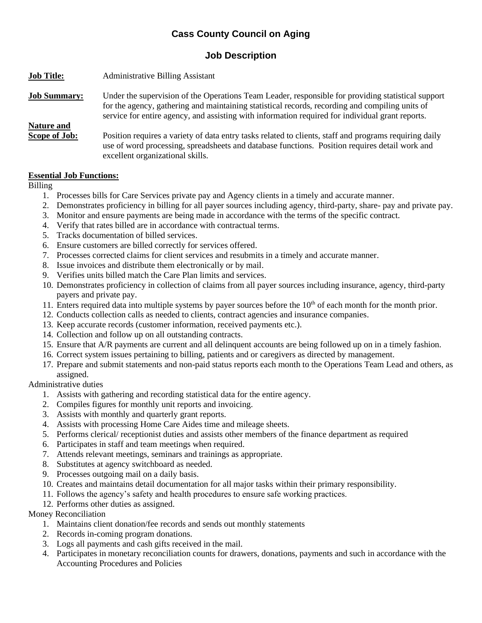# **Cass County Council on Aging**

# **Job Description**

| <b>Job Title:</b>           | <b>Administrative Billing Assistant</b>                                                                                                                                                                                                                                                                   |
|-----------------------------|-----------------------------------------------------------------------------------------------------------------------------------------------------------------------------------------------------------------------------------------------------------------------------------------------------------|
| <b>Job Summary:</b>         | Under the supervision of the Operations Team Leader, responsible for providing statistical support<br>for the agency, gathering and maintaining statistical records, recording and compiling units of<br>service for entire agency, and assisting with information required for individual grant reports. |
| Nature and<br>Scope of Job: | Position requires a variety of data entry tasks related to clients, staff and programs requiring daily<br>use of word processing, spreadsheets and database functions. Position requires detail work and<br>excellent organizational skills.                                                              |

### **Essential Job Functions:**

### Billing

- 1. Processes bills for Care Services private pay and Agency clients in a timely and accurate manner.
- 2. Demonstrates proficiency in billing for all payer sources including agency, third-party, share- pay and private pay.
- 3. Monitor and ensure payments are being made in accordance with the terms of the specific contract.
- 4. Verify that rates billed are in accordance with contractual terms.
- 5. Tracks documentation of billed services.
- 6. Ensure customers are billed correctly for services offered.
- 7. Processes corrected claims for client services and resubmits in a timely and accurate manner.
- 8. Issue invoices and distribute them electronically or by mail.
- 9. Verifies units billed match the Care Plan limits and services.
- 10. Demonstrates proficiency in collection of claims from all payer sources including insurance, agency, third-party payers and private pay.
- 11. Enters required data into multiple systems by payer sources before the 10<sup>th</sup> of each month for the month prior.
- 12. Conducts collection calls as needed to clients, contract agencies and insurance companies.
- 13. Keep accurate records (customer information, received payments etc.).
- 14. Collection and follow up on all outstanding contracts.
- 15. Ensure that A/R payments are current and all delinquent accounts are being followed up on in a timely fashion.
- 16. Correct system issues pertaining to billing, patients and or caregivers as directed by management.
- 17. Prepare and submit statements and non-paid status reports each month to the Operations Team Lead and others, as assigned.

# Administrative duties

- 1. Assists with gathering and recording statistical data for the entire agency.
- 2. Compiles figures for monthly unit reports and invoicing.
- 3. Assists with monthly and quarterly grant reports.
- 4. Assists with processing Home Care Aides time and mileage sheets.
- 5. Performs clerical/ receptionist duties and assists other members of the finance department as required
- 6. Participates in staff and team meetings when required.
- 7. Attends relevant meetings, seminars and trainings as appropriate.
- 8. Substitutes at agency switchboard as needed.
- 9. Processes outgoing mail on a daily basis.
- 10. Creates and maintains detail documentation for all major tasks within their primary responsibility.
- 11. Follows the agency's safety and health procedures to ensure safe working practices.
- 12. Performs other duties as assigned.

Money Reconciliation

- 1. Maintains client donation/fee records and sends out monthly statements
- 2. Records in-coming program donations.
- 3. Logs all payments and cash gifts received in the mail.
- 4. Participates in monetary reconciliation counts for drawers, donations, payments and such in accordance with the Accounting Procedures and Policies